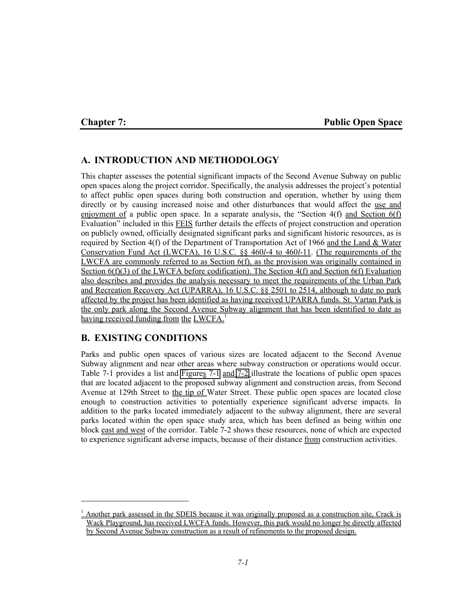#### **Chapter 7: Public Open Space**

# **A. INTRODUCTION AND METHODOLOGY**

This chapter assesses the potential significant impacts of the Second Avenue Subway on public open spaces along the project corridor. Specifically, the analysis addresses the project's potential to affect public open spaces during both construction and operation, whether by using them directly or by causing increased noise and other disturbances that would affect the use and enjoyment of a public open space. In a separate analysis, the "Section  $4(f)$  and Section  $6(f)$ Evaluation" included in this FEIS further details the effects of project construction and operation on publicly owned, officially designated significant parks and significant historic resources, as is required by Section 4(f) of the Department of Transportation Act of 1966 and the Land  $& Water$ Conservation Fund Act (LWCFA), 16 U.S.C. §§ 460*l*-4 to 460*l*-11. (The requirements of the LWCFA are commonly referred to as Section 6(f), as the provision was originally contained in Section 6(f)(3) of the LWCFA before codification). The Section 4(f) and Section 6(f) Evaluation also describes and provides the analysis necessary to meet the requirements of the Urban Park and Recreation Recovery Act (UPARRA), 16 U.S.C. §§ 2501 to 2514, although to date no park affected by the project has been identified as having received UPARRA funds. St. Vartan Park is the only park along the Second Avenue Subway alignment that has been identified to date as having received funding from the LWCFA.<sup>1</sup>

## **B. EXISTING CONDITIONS**

l

Parks and public open spaces of various sizes are located adjacent to the Second Avenue Subway alignment and near other areas where subway construction or operations would occur. Table 7-1 provides a list and Figures 7-1 and 7-2 illustrate the locations of public open spaces that are located adjacent to the proposed subway alignment and construction areas, from Second Avenue at 129th Street to the tip of Water Street. These public open spaces are located close enough to construction activities to potentially experience significant adverse impacts. In addition to the parks located immediately adjacent to the subway alignment, there are several parks located within the open space study area, which has been defined as being within one block east and west of the corridor. Table 7-2 shows these resources, none of which are expected to experience significant adverse impacts, because of their distance from construction activities.

<sup>&</sup>lt;sup>1</sup> Another park assessed in the SDEIS because it was originally proposed as a construction site, Crack is Wack Playground, has received LWCFA funds. However, this park would no longer be directly affected by Second Avenue Subway construction as a result of refinements to the proposed design.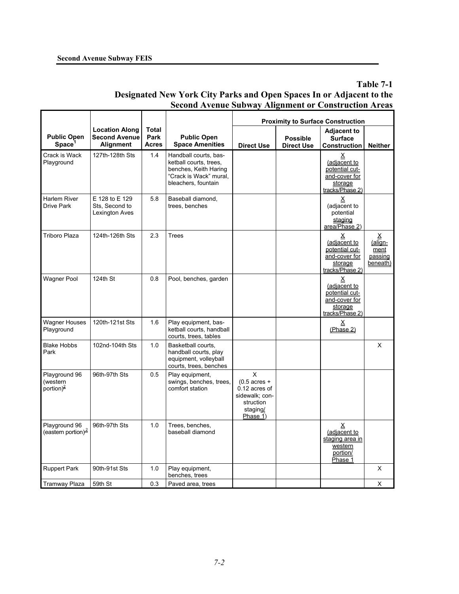**Table 7-1 Designated New York City Parks and Open Spaces In or Adjacent to the Second Avenue Subway Alignment or Construction Areas**

|                                                    |                                                            |                               |                                                                                                                           | <b>Proximity to Surface Construction</b>                                                            |                                      |                                                                                                  |                                                |
|----------------------------------------------------|------------------------------------------------------------|-------------------------------|---------------------------------------------------------------------------------------------------------------------------|-----------------------------------------------------------------------------------------------------|--------------------------------------|--------------------------------------------------------------------------------------------------|------------------------------------------------|
| <b>Public Open</b><br>Space <sup>'</sup>           | <b>Location Along</b><br><b>Second Avenue</b><br>Alignment | Total<br>Park<br><b>Acres</b> | <b>Public Open</b><br><b>Space Amenities</b>                                                                              | <b>Direct Use</b>                                                                                   | <b>Possible</b><br><b>Direct Use</b> | <b>Adjacent to</b><br><b>Surface</b><br><b>Construction</b>                                      | <b>Neither</b>                                 |
| Crack is Wack<br>Playground                        | 127th-128th Sts                                            | 1.4                           | Handball courts, bas-<br>ketball courts, trees,<br>benches, Keith Haring<br>"Crack is Wack" mural,<br>bleachers, fountain |                                                                                                     |                                      | $\underline{X}$<br>(adjacent to<br>potential cut-<br>and-cover for<br>storage<br>tracks/Phase 2) |                                                |
| Harlem River<br>Drive Park                         | E 128 to E 129<br>Sts, Second to<br>Lexington Aves         | 5.8                           | Baseball diamond,<br>trees, benches                                                                                       |                                                                                                     |                                      | Χ<br>(adjacent to<br>potential<br>staging<br>area/Phase 2)                                       |                                                |
| <b>Triboro Plaza</b>                               | 124th-126th Sts                                            | 2.3                           | <b>Trees</b>                                                                                                              |                                                                                                     |                                      | Χ<br>(adjacent to<br>potential cut-<br>and-cover for<br>storage<br>tracks/Phase 2)               | Χ<br>$(a$ lign-<br>ment<br>passing<br>beneath) |
| Wagner Pool                                        | 124th St                                                   | 0.8                           | Pool, benches, garden                                                                                                     |                                                                                                     |                                      | х<br>(adjacent to<br>potential cut-<br>and-cover for<br>storage<br>tracks/Phase 2)               |                                                |
| <b>Wagner Houses</b><br>Playground                 | 120th-121st Sts                                            | 1.6                           | Play equipment, bas-<br>ketball courts, handball<br>courts, trees, tables                                                 |                                                                                                     |                                      | Χ<br>(Phase 2)                                                                                   |                                                |
| <b>Blake Hobbs</b><br>Park                         | 102nd-104th Sts                                            | 1.0                           | Basketball courts,<br>handball courts, play<br>equipment, volleyball<br>courts, trees, benches                            |                                                                                                     |                                      |                                                                                                  | X                                              |
| Playground 96<br>(western<br>portion) <sup>2</sup> | 96th-97th Sts                                              | 0.5                           | Play equipment,<br>swings, benches, trees,<br>comfort station                                                             | X<br>$(0.5 \text{ acres} +$<br>0.12 acres of<br>sidewalk; con-<br>struction<br>staging/<br>Phase 1) |                                      |                                                                                                  |                                                |
| Playground 96<br>(eastern portion) <sup>2</sup>    | 96th-97th Sts                                              | 1.0                           | Trees, benches,<br>baseball diamond                                                                                       |                                                                                                     |                                      | <u>x</u><br>(adjacent to<br>staging area in<br>western<br>portion/<br>Phase 1                    |                                                |
| <b>Ruppert Park</b>                                | 90th-91st Sts                                              | 1.0                           | Play equipment,<br>benches, trees                                                                                         |                                                                                                     |                                      |                                                                                                  | X                                              |
| Tramway Plaza                                      | 59th St                                                    | 0.3                           | Paved area, trees                                                                                                         |                                                                                                     |                                      |                                                                                                  | х                                              |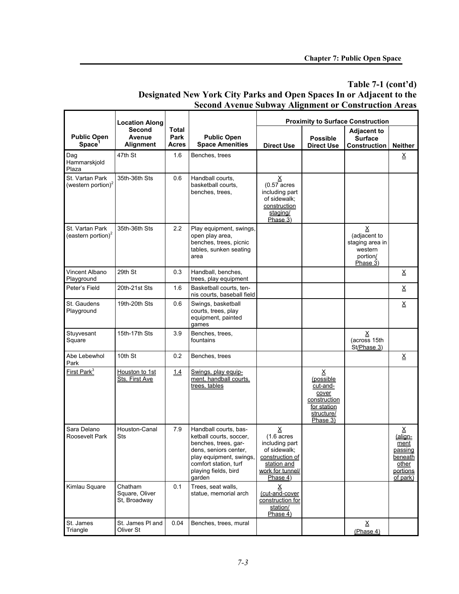# **Table 7-1 (cont'd) Designated New York City Parks and Open Spaces In or Adjacent to the Second Avenue Subway Alignment or Construction Areas**

Г

|                                                   | <b>Location Along</b>                     |                        |                                                                                                                                                                                         |                                                                                                                                |                                                                                              | <b>Proximity to Surface Construction</b>                                                       |                                                                                    |
|---------------------------------------------------|-------------------------------------------|------------------------|-----------------------------------------------------------------------------------------------------------------------------------------------------------------------------------------|--------------------------------------------------------------------------------------------------------------------------------|----------------------------------------------------------------------------------------------|------------------------------------------------------------------------------------------------|------------------------------------------------------------------------------------|
| <b>Public Open</b><br>Space <sup>1</sup>          | <b>Second</b><br>Avenue<br>Alignment      | Total<br>Park<br>Acres | <b>Public Open</b><br><b>Space Amenities</b>                                                                                                                                            | <b>Direct Use</b>                                                                                                              | <b>Possible</b><br><b>Direct Use</b>                                                         | <b>Adjacent to</b><br><b>Surface</b><br><b>Construction</b>                                    | <b>Neither</b>                                                                     |
| Dag<br>Hammarskjold<br>Plaza                      | 47th St                                   | 1.6                    | Benches, trees                                                                                                                                                                          |                                                                                                                                |                                                                                              |                                                                                                | $\underline{\mathsf{X}}$                                                           |
| St. Vartan Park<br>(western portion) <sup>2</sup> | 35th-36th Sts                             | 0.6                    | Handball courts,<br>basketball courts,<br>benches, trees,                                                                                                                               | ≚<br>$(0.57 \text{ acres})$<br>including part<br>of sidewalk;<br>construction<br>staging/<br>Phase 3)                          |                                                                                              |                                                                                                |                                                                                    |
| St. Vartan Park<br>(eastern portion) <sup>2</sup> | 35th-36th Sts                             | 2.2                    | Play equipment, swings,<br>open play area,<br>benches, trees, picnic<br>tables, sunken seating<br>area                                                                                  |                                                                                                                                |                                                                                              | $\underline{\mathsf{X}}$<br>(adjacent to<br>staging area in<br>western<br>portion/<br>Phase 3) |                                                                                    |
| Vincent Albano<br>Playground                      | 29th St                                   | 0.3                    | Handball, benches,<br>trees, play equipment                                                                                                                                             |                                                                                                                                |                                                                                              |                                                                                                | $\underline{\mathsf{X}}$                                                           |
| Peter's Field                                     | 20th-21st Sts                             | 1.6                    | Basketball courts, ten-<br>nis courts, baseball field                                                                                                                                   |                                                                                                                                |                                                                                              |                                                                                                | $\underline{\mathsf{X}}$                                                           |
| St. Gaudens<br>Playground                         | 19th-20th Sts                             | 0.6                    | Swings, basketball<br>courts, trees, play<br>equipment, painted<br>games                                                                                                                |                                                                                                                                |                                                                                              |                                                                                                | $\underline{x}$                                                                    |
| Stuyvesant<br>Square                              | 15th-17th Sts                             | 3.9                    | Benches, trees,<br>fountains                                                                                                                                                            |                                                                                                                                |                                                                                              | $\mathsf X$<br>(across 15th<br>St/Phase 3)                                                     |                                                                                    |
| Abe Lebewhol<br>Park                              | 10th St                                   | 0.2                    | Benches, trees                                                                                                                                                                          |                                                                                                                                |                                                                                              |                                                                                                | $\underline{\mathsf{X}}$                                                           |
| First Park <sup>3</sup>                           | Houston to 1st<br>Sts, First Ave          | <u>14</u>              | Swings, play equip-<br>ment, handball courts,<br>trees, tables                                                                                                                          |                                                                                                                                | Χ<br>(possible<br>cut-and-<br>cover<br>construction<br>for station<br>structure/<br>Phase 3) |                                                                                                |                                                                                    |
| Sara Delano<br>Roosevelt Park                     | Houston-Canal<br>Sts                      | 7.9                    | Handball courts, bas-<br>ketball courts, soccer,<br>benches, trees, gar-<br>dens, seniors center,<br>play equipment, swings,<br>comfort station, turf<br>playing fields, bird<br>garden | ≚<br>$(1.6 \text{ acres})$<br>including part<br>of sidewalk;<br>construction of<br>station and<br>work for tunnel/<br>Phase 4) |                                                                                              |                                                                                                | Χ<br>(align-<br>ment<br>passing<br><b>beneath</b><br>other<br>portions<br>of park) |
| Kimlau Square                                     | Chatham<br>Square, Oliver<br>St, Broadway | 0.1                    | Trees, seat walls,<br>statue, memorial arch                                                                                                                                             | Χ<br>(cut-and-cover<br>construction for<br>station/<br>Phase 4)                                                                |                                                                                              |                                                                                                |                                                                                    |
| St. James<br>Triangle                             | St. James PI and<br>Oliver St             | 0.04                   | Benches, trees, mural                                                                                                                                                                   |                                                                                                                                |                                                                                              | Χ<br>(Phase 4)                                                                                 |                                                                                    |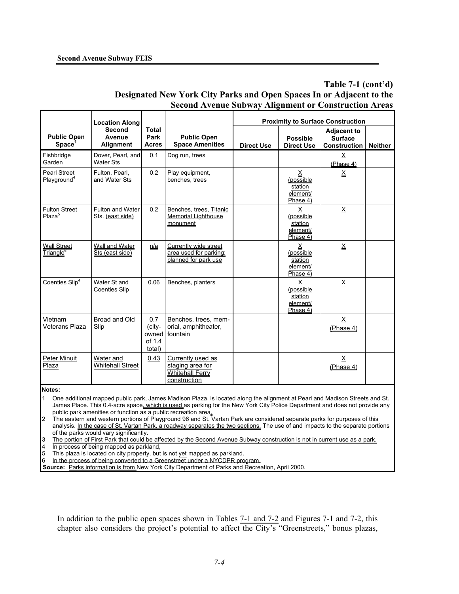**Table 7-1 (cont'd) Designated New York City Parks and Open Spaces In or Adjacent to the Second Avenue Subway Alignment or Construction Areas**

|                                                | <b>Location Along</b>                 |                                            |                                                                                 |                   |                                                                          | <b>Proximity to Surface Construction</b>                    |                |
|------------------------------------------------|---------------------------------------|--------------------------------------------|---------------------------------------------------------------------------------|-------------------|--------------------------------------------------------------------------|-------------------------------------------------------------|----------------|
| <b>Public Open</b><br><b>Space</b>             | Second<br>Avenue<br><b>Alignment</b>  | <b>Total</b><br>Park<br><b>Acres</b>       | <b>Public Open</b><br><b>Space Amenities</b>                                    | <b>Direct Use</b> | <b>Possible</b><br><b>Direct Use</b>                                     | <b>Adjacent to</b><br><b>Surface</b><br><b>Construction</b> | <b>Neither</b> |
| Fishbridge<br>Garden                           | Dover, Pearl, and<br><b>Water Sts</b> | 0.1                                        | Dog run, trees                                                                  |                   |                                                                          | $\underline{X}$<br>(Phase 4)                                |                |
| <b>Pearl Street</b><br>Playground <sup>4</sup> | Fulton, Pearl,<br>and Water Sts       | 0.2                                        | Play equipment,<br>benches, trees                                               |                   | Χ<br>(possible<br>station<br>element/<br>Phase 4)                        | Χ                                                           |                |
| <b>Fulton Street</b><br>Plaza <sup>5</sup>     | Fulton and Water<br>Sts. (east side)  | 0.2                                        | Benches, trees, Titanic<br><b>Memorial Lighthouse</b><br>monument               |                   | $\underline{\mathsf{X}}$<br>(possible<br>station<br>element/<br>Phase 4) | $\underline{X}$                                             |                |
| <b>Wall Street</b><br>Triangle <sup>6</sup>    | Wall and Water<br>Sts (east side)     | n/a                                        | Currently wide street<br>area used for parking:<br>planned for park use         |                   | $\mathsf{X}$<br>(possible<br>station<br>element/<br>Phase 4)             | $\underline{\mathsf{X}}$                                    |                |
| Coenties Slip <sup>4</sup>                     | Water St and<br><b>Coenties Slip</b>  | 0.06                                       | Benches, planters                                                               |                   | X<br>(possible<br>station<br>element/<br>Phase 4)                        | $\underline{X}$                                             |                |
| Vietnam<br><b>Veterans Plaza</b>               | Broad and Old<br>Slip                 | 0.7<br>(city-<br>owned<br>of 1.4<br>total) | Benches, trees, mem-<br>orial, amphitheater,<br>fountain                        |                   |                                                                          | Χ<br>(Phase 4)                                              |                |
| <b>Peter Minuit</b><br>Plaza                   | Water and<br><b>Whitehall Street</b>  | 0.43                                       | Currently used as<br>staging area for<br><b>Whitehall Ferry</b><br>construction |                   |                                                                          | $\underline{X}$<br>(Phase 4)                                |                |

**Notes:** 

1 One additional mapped public park, James Madison Plaza, is located along the alignment at Pearl and Madison Streets and St. James Place. This 0.4-acre space, which is used as parking for the New York City Police Department and does not provide any public park amenities or function as a public recreation area.

2 The eastern and western portions of Playground 96 and St. Vartan Park are considered separate parks for purposes of this analysis. In the case of St. Vartan Park, a roadway separates the two sections. The use of and impacts to the separate portions of the parks would vary significantly.

The portion of First Park that could be affected by the Second Avenue Subway construction is not in current use as a park.

In process of being mapped as parkland,

This plaza is located on city property, but is not vet mapped as parkland.

6 In the process of being converted to a Greenstreet under a NYCDPR program.

**Source:** Parks information is from New York City Department of Parks and Recreation, April 2000.

In addition to the public open spaces shown in Tables 7-1 and 7-2 and Figures 7-1 and 7-2, this chapter also considers the project's potential to affect the City's "Greenstreets," bonus plazas,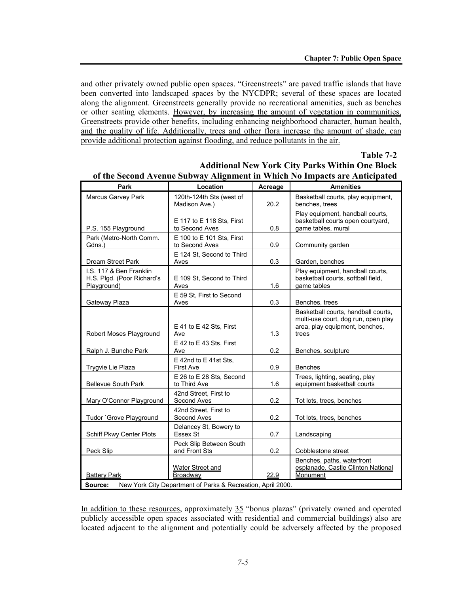and other privately owned public open spaces. "Greenstreets" are paved traffic islands that have been converted into landscaped spaces by the NYCDPR; several of these spaces are located along the alignment. Greenstreets generally provide no recreational amenities, such as benches or other seating elements. However, by increasing the amount of vegetation in communities, Greenstreets provide other benefits, including enhancing neighborhood character, human health, and the quality of life. Additionally, trees and other flora increase the amount of shade, can provide additional protection against flooding, and reduce pollutants in the air.

#### **Table 7-2**

| <b>Marcus Garvey Park</b>                                            | 120th-124th Sts (west of<br>Madison Ave.)<br>E 117 to E 118 Sts, First<br>to Second Aves                  | 20.2 | Basketball courts, play equipment,<br>benches, trees                                                                  |
|----------------------------------------------------------------------|-----------------------------------------------------------------------------------------------------------|------|-----------------------------------------------------------------------------------------------------------------------|
|                                                                      |                                                                                                           |      |                                                                                                                       |
| P.S. 155 Playground                                                  |                                                                                                           | 0.8  | Play equipment, handball courts,<br>basketball courts open courtyard,<br>game tables, mural                           |
| Park (Metro-North Comm.<br>Gdns.)                                    | E 100 to E 101 Sts, First<br>to Second Aves                                                               | 0.9  | Community garden                                                                                                      |
| <b>Dream Street Park</b>                                             | E 124 St, Second to Third<br>Aves                                                                         | 0.3  | Garden, benches                                                                                                       |
| I.S. 117 & Ben Franklin<br>H.S. Plgd. (Poor Richard's<br>Playground) | E 109 St, Second to Third<br>Aves                                                                         | 1.6  | Play equipment, handball courts,<br>basketball courts, softball field,<br>game tables                                 |
| Gateway Plaza                                                        | E 59 St, First to Second<br>Aves                                                                          | 0.3  | Benches, trees                                                                                                        |
| Robert Moses Playground                                              | E 41 to E 42 Sts, First<br>Ave                                                                            | 1.3  | Basketball courts, handball courts,<br>multi-use court, dog run, open play<br>area, play equipment, benches,<br>trees |
| Ralph J. Bunche Park                                                 | E 42 to E 43 Sts. First<br>Ave                                                                            | 0.2  | Benches, sculpture                                                                                                    |
| Trygvie Lie Plaza                                                    | E 42nd to E 41st Sts.<br><b>First Ave</b>                                                                 | 0.9  | <b>Benches</b>                                                                                                        |
| <b>Bellevue South Park</b>                                           | E 26 to E 28 Sts, Second<br>to Third Ave                                                                  | 1.6  | Trees, lighting, seating, play<br>equipment basketball courts                                                         |
| Mary O'Connor Playground                                             | 42nd Street, First to<br>Second Aves                                                                      | 0.2  | Tot lots, trees, benches                                                                                              |
| Tudor `Grove Playground                                              | 42nd Street. First to<br>Second Aves                                                                      | 0.2  | Tot lots, trees, benches                                                                                              |
| Schiff Pkwy Center Plots                                             | Delancey St, Bowery to<br>Essex St                                                                        | 0.7  | Landscaping                                                                                                           |
| Peck Slip                                                            | Peck Slip Between South<br>and Front Sts                                                                  | 0.2  | Cobblestone street                                                                                                    |
| <b>Battery Park</b><br>Source:                                       | <b>Water Street and</b><br><b>Broadway</b><br>New York City Department of Parks & Recreation, April 2000. | 22.9 | Benches, paths, waterfront<br>esplanade, Castle Clinton National<br>Monument                                          |

**Additional New York City Parks Within One Block of the Second Avenue Subway Alignment in Which No Impacts are Anticipated**

In addition to these resources, approximately 35 "bonus plazas" (privately owned and operated publicly accessible open spaces associated with residential and commercial buildings) also are located adjacent to the alignment and potentially could be adversely affected by the proposed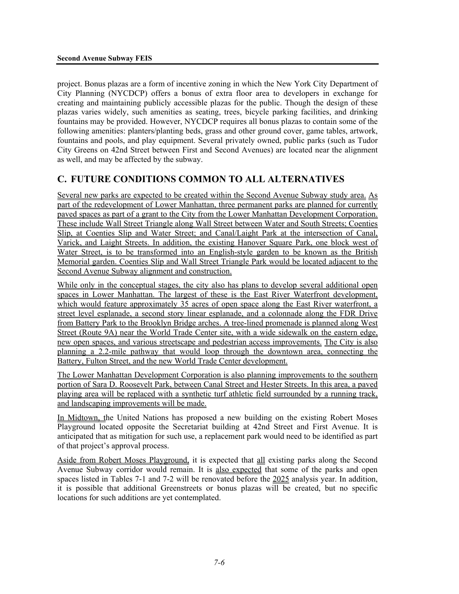project. Bonus plazas are a form of incentive zoning in which the New York City Department of City Planning (NYCDCP) offers a bonus of extra floor area to developers in exchange for creating and maintaining publicly accessible plazas for the public. Though the design of these plazas varies widely, such amenities as seating, trees, bicycle parking facilities, and drinking fountains may be provided. However, NYCDCP requires all bonus plazas to contain some of the following amenities: planters/planting beds, grass and other ground cover, game tables, artwork, fountains and pools, and play equipment. Several privately owned, public parks (such as Tudor City Greens on 42nd Street between First and Second Avenues) are located near the alignment as well, and may be affected by the subway.

# **C. FUTURE CONDITIONS COMMON TO ALL ALTERNATIVES**

Several new parks are expected to be created within the Second Avenue Subway study area. As part of the redevelopment of Lower Manhattan, three permanent parks are planned for currently paved spaces as part of a grant to the City from the Lower Manhattan Development Corporation. These include Wall Street Triangle along Wall Street between Water and South Streets; Coenties Slip, at Coenties Slip and Water Street; and Canal/Laight Park at the intersection of Canal, Varick, and Laight Streets. In addition, the existing Hanover Square Park, one block west of Water Street, is to be transformed into an English-style garden to be known as the British Memorial garden. Coenties Slip and Wall Street Triangle Park would be located adjacent to the Second Avenue Subway alignment and construction.

While only in the conceptual stages, the city also has plans to develop several additional open spaces in Lower Manhattan. The largest of these is the East River Waterfront development, which would feature approximately 35 acres of open space along the East River waterfront, a street level esplanade, a second story linear esplanade, and a colonnade along the FDR Drive from Battery Park to the Brooklyn Bridge arches. A tree-lined promenade is planned along West Street (Route 9A) near the World Trade Center site, with a wide sidewalk on the eastern edge, new open spaces, and various streetscape and pedestrian access improvements. The City is also planning a 2.2-mile pathway that would loop through the downtown area, connecting the Battery, Fulton Street, and the new World Trade Center development.

The Lower Manhattan Development Corporation is also planning improvements to the southern portion of Sara D. Roosevelt Park, between Canal Street and Hester Streets. In this area, a paved playing area will be replaced with a synthetic turf athletic field surrounded by a running track, and landscaping improvements will be made.

In Midtown, the United Nations has proposed a new building on the existing Robert Moses Playground located opposite the Secretariat building at 42nd Street and First Avenue. It is anticipated that as mitigation for such use, a replacement park would need to be identified as part of that project's approval process.

Aside from Robert Moses Playground, it is expected that all existing parks along the Second Avenue Subway corridor would remain. It is also expected that some of the parks and open spaces listed in Tables 7-1 and 7-2 will be renovated before the 2025 analysis year. In addition, it is possible that additional Greenstreets or bonus plazas will be created, but no specific locations for such additions are yet contemplated.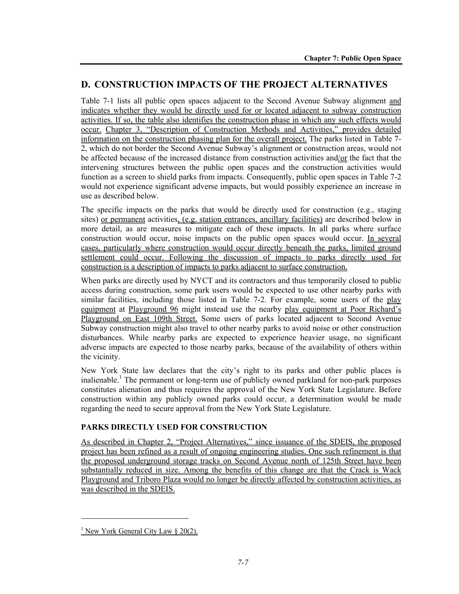# **D. CONSTRUCTION IMPACTS OF THE PROJECT ALTERNATIVES**

Table 7-1 lists all public open spaces adjacent to the Second Avenue Subway alignment and indicates whether they would be directly used for or located adjacent to subway construction activities. If so, the table also identifies the construction phase in which any such effects would occur. Chapter 3, "Description of Construction Methods and Activities," provides detailed information on the construction phasing plan for the overall project. The parks listed in Table 7- 2, which do not border the Second Avenue Subway's alignment or construction areas, would not be affected because of the increased distance from construction activities and/or the fact that the intervening structures between the public open spaces and the construction activities would function as a screen to shield parks from impacts. Consequently, public open spaces in Table 7-2 would not experience significant adverse impacts, but would possibly experience an increase in use as described below.

The specific impacts on the parks that would be directly used for construction (e.g., staging sites) or permanent activities, (e.g. station entrances, ancillary facilities) are described below in more detail, as are measures to mitigate each of these impacts. In all parks where surface construction would occur, noise impacts on the public open spaces would occur. In several cases, particularly where construction would occur directly beneath the parks, limited ground settlement could occur. Following the discussion of impacts to parks directly used for construction is a description of impacts to parks adjacent to surface construction.

When parks are directly used by NYCT and its contractors and thus temporarily closed to public access during construction, some park users would be expected to use other nearby parks with similar facilities, including those listed in Table 7-2. For example, some users of the play equipment at Playground 96 might instead use the nearby play equipment at Poor Richard's Playground on East 109th Street. Some users of parks located adjacent to Second Avenue Subway construction might also travel to other nearby parks to avoid noise or other construction disturbances. While nearby parks are expected to experience heavier usage, no significant adverse impacts are expected to those nearby parks, because of the availability of others within the vicinity.

New York State law declares that the city's right to its parks and other public places is inalienable.<sup>1</sup> The permanent or long-term use of publicly owned parkland for non-park purposes constitutes alienation and thus requires the approval of the New York State Legislature. Before construction within any publicly owned parks could occur, a determination would be made regarding the need to secure approval from the New York State Legislature.

## **PARKS DIRECTLY USED FOR CONSTRUCTION**

As described in Chapter 2, "Project Alternatives," since issuance of the SDEIS, the proposed project has been refined as a result of ongoing engineering studies. One such refinement is that the proposed underground storage tracks on Second Avenue north of 125th Street have been substantially reduced in size. Among the benefits of this change are that the Crack is Wack Playground and Triboro Plaza would no longer be directly affected by construction activities, as was described in the SDEIS.

1

<sup>&</sup>lt;sup>1</sup> New York General City Law  $\S 20(2)$ .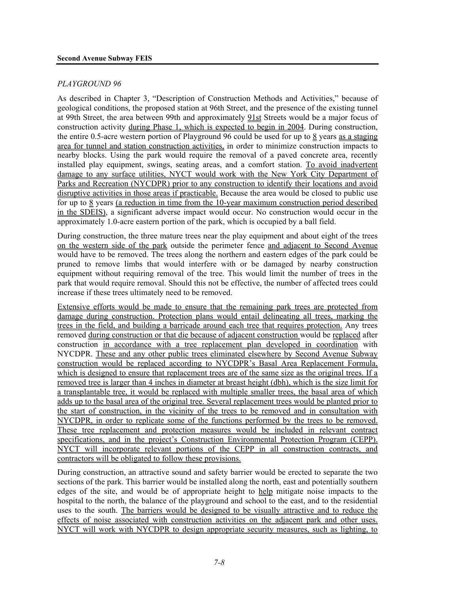#### *PLAYGROUND 96*

As described in Chapter 3, "Description of Construction Methods and Activities," because of geological conditions, the proposed station at 96th Street, and the presence of the existing tunnel at 99th Street, the area between 99th and approximately 91st Streets would be a major focus of construction activity during Phase 1, which is expected to begin in 2004. During construction, the entire 0.5-acre western portion of Playground 96 could be used for up to 8 years as a staging area for tunnel and station construction activities, in order to minimize construction impacts to nearby blocks. Using the park would require the removal of a paved concrete area, recently installed play equipment, swings, seating areas, and a comfort station. To avoid inadvertent damage to any surface utilities, NYCT would work with the New York City Department of Parks and Recreation (NYCDPR) prior to any construction to identify their locations and avoid disruptive activities in those areas if practicable. Because the area would be closed to public use for up to 8 years (a reduction in time from the 10-year maximum construction period described in the SDEIS), a significant adverse impact would occur. No construction would occur in the approximately 1.0-acre eastern portion of the park, which is occupied by a ball field.

During construction, the three mature trees near the play equipment and about eight of the trees on the western side of the park outside the perimeter fence and adjacent to Second Avenue would have to be removed. The trees along the northern and eastern edges of the park could be pruned to remove limbs that would interfere with or be damaged by nearby construction equipment without requiring removal of the tree. This would limit the number of trees in the park that would require removal. Should this not be effective, the number of affected trees could increase if these trees ultimately need to be removed.

Extensive efforts would be made to ensure that the remaining park trees are protected from damage during construction. Protection plans would entail delineating all trees, marking the trees in the field, and building a barricade around each tree that requires protection. Any trees removed during construction or that die because of adjacent construction would be replaced after construction in accordance with a tree replacement plan developed in coordination with NYCDPR. These and any other public trees eliminated elsewhere by Second Avenue Subway construction would be replaced according to NYCDPR's Basal Area Replacement Formula, which is designed to ensure that replacement trees are of the same size as the original trees. If a removed tree is larger than 4 inches in diameter at breast height (dbh), which is the size limit for a transplantable tree, it would be replaced with multiple smaller trees, the basal area of which adds up to the basal area of the original tree. Several replacement trees would be planted prior to the start of construction, in the vicinity of the trees to be removed and in consultation with NYCDPR, in order to replicate some of the functions performed by the trees to be removed. These tree replacement and protection measures would be included in relevant contract specifications, and in the project's Construction Environmental Protection Program (CEPP). NYCT will incorporate relevant portions of the CEPP in all construction contracts, and contractors will be obligated to follow these provisions.

During construction, an attractive sound and safety barrier would be erected to separate the two sections of the park. This barrier would be installed along the north, east and potentially southern edges of the site, and would be of appropriate height to help mitigate noise impacts to the hospital to the north, the balance of the playground and school to the east, and to the residential uses to the south. The barriers would be designed to be visually attractive and to reduce the effects of noise associated with construction activities on the adjacent park and other uses. NYCT will work with NYCDPR to design appropriate security measures, such as lighting, to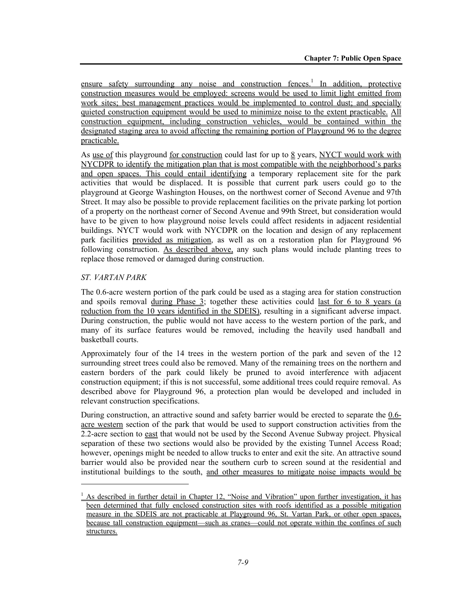ensure safety surrounding any noise and construction fences.<sup>1</sup> In addition, protective construction measures would be employed: screens would be used to limit light emitted from work sites; best management practices would be implemented to control dust; and specially quieted construction equipment would be used to minimize noise to the extent practicable. All construction equipment, including construction vehicles, would be contained within the designated staging area to avoid affecting the remaining portion of Playground 96 to the degree practicable.

As use of this playground for construction could last for up to  $\frac{8}{9}$  years, NYCT would work with NYCDPR to identify the mitigation plan that is most compatible with the neighborhood's parks and open spaces. This could entail identifying a temporary replacement site for the park activities that would be displaced. It is possible that current park users could go to the playground at George Washington Houses, on the northwest corner of Second Avenue and 97th Street. It may also be possible to provide replacement facilities on the private parking lot portion of a property on the northeast corner of Second Avenue and 99th Street, but consideration would have to be given to how playground noise levels could affect residents in adjacent residential buildings. NYCT would work with NYCDPR on the location and design of any replacement park facilities provided as mitigation, as well as on a restoration plan for Playground 96 following construction. As described above, any such plans would include planting trees to replace those removed or damaged during construction.

## *ST. VARTAN PARK*

l

The 0.6-acre western portion of the park could be used as a staging area for station construction and spoils removal during Phase 3; together these activities could last for 6 to 8 years (a reduction from the 10 years identified in the SDEIS), resulting in a significant adverse impact. During construction, the public would not have access to the western portion of the park, and many of its surface features would be removed, including the heavily used handball and basketball courts.

Approximately four of the 14 trees in the western portion of the park and seven of the 12 surrounding street trees could also be removed. Many of the remaining trees on the northern and eastern borders of the park could likely be pruned to avoid interference with adjacent construction equipment; if this is not successful, some additional trees could require removal. As described above for Playground 96, a protection plan would be developed and included in relevant construction specifications.

During construction, an attractive sound and safety barrier would be erected to separate the 0.6 acre western section of the park that would be used to support construction activities from the 2.2-acre section to east that would not be used by the Second Avenue Subway project. Physical separation of these two sections would also be provided by the existing Tunnel Access Road; however, openings might be needed to allow trucks to enter and exit the site. An attractive sound barrier would also be provided near the southern curb to screen sound at the residential and institutional buildings to the south, and other measures to mitigate noise impacts would be

<sup>&</sup>lt;sup>1</sup> As described in further detail in Chapter 12, "Noise and Vibration" upon further investigation, it has been determined that fully enclosed construction sites with roofs identified as a possible mitigation measure in the SDEIS are not practicable at Playground 96, St. Vartan Park, or other open spaces, because tall construction equipment—such as cranes—could not operate within the confines of such structures.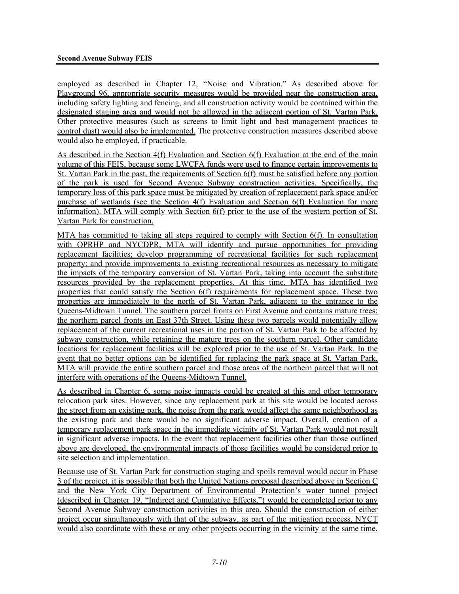employed as described in Chapter 12, "Noise and Vibration." As described above for Playground 96, appropriate security measures would be provided near the construction area, including safety lighting and fencing, and all construction activity would be contained within the designated staging area and would not be allowed in the adjacent portion of St. Vartan Park. Other protective measures (such as screens to limit light and best management practices to control dust) would also be implemented. The protective construction measures described above would also be employed, if practicable.

As described in the Section 4(f) Evaluation and Section 6(f) Evaluation at the end of the main volume of this FEIS, because some LWCFA funds were used to finance certain improvements to St. Vartan Park in the past, the requirements of Section 6(f) must be satisfied before any portion of the park is used for Second Avenue Subway construction activities. Specifically, the temporary loss of this park space must be mitigated by creation of replacement park space and/or purchase of wetlands (see the Section 4(f) Evaluation and Section 6(f) Evaluation for more information). MTA will comply with Section 6(f) prior to the use of the western portion of St. Vartan Park for construction.

MTA has committed to taking all steps required to comply with Section 6(f). In consultation with OPRHP and NYCDPR, MTA will identify and pursue opportunities for providing replacement facilities; develop programming of recreational facilities for such replacement property; and provide improvements to existing recreational resources as necessary to mitigate the impacts of the temporary conversion of St. Vartan Park, taking into account the substitute resources provided by the replacement properties. At this time, MTA has identified two properties that could satisfy the Section 6(f) requirements for replacement space. These two properties are immediately to the north of St. Vartan Park, adjacent to the entrance to the Queens-Midtown Tunnel. The southern parcel fronts on First Avenue and contains mature trees; the northern parcel fronts on East 37th Street. Using these two parcels would potentially allow replacement of the current recreational uses in the portion of St. Vartan Park to be affected by subway construction, while retaining the mature trees on the southern parcel. Other candidate locations for replacement facilities will be explored prior to the use of St. Vartan Park. In the event that no better options can be identified for replacing the park space at St. Vartan Park, MTA will provide the entire southern parcel and those areas of the northern parcel that will not interfere with operations of the Queens-Midtown Tunnel.

As described in Chapter 6, some noise impacts could be created at this and other temporary relocation park sites. However, since any replacement park at this site would be located across the street from an existing park, the noise from the park would affect the same neighborhood as the existing park and there would be no significant adverse impact. Overall, creation of a temporary replacement park space in the immediate vicinity of St. Vartan Park would not result in significant adverse impacts. In the event that replacement facilities other than those outlined above are developed, the environmental impacts of those facilities would be considered prior to site selection and implementation.

Because use of St. Vartan Park for construction staging and spoils removal would occur in Phase 3 of the project, it is possible that both the United Nations proposal described above in Section C and the New York City Department of Environmental Protection's water tunnel project (described in Chapter 19, "Indirect and Cumulative Effects,") would be completed prior to any Second Avenue Subway construction activities in this area. Should the construction of either project occur simultaneously with that of the subway, as part of the mitigation process, NYCT would also coordinate with these or any other projects occurring in the vicinity at the same time.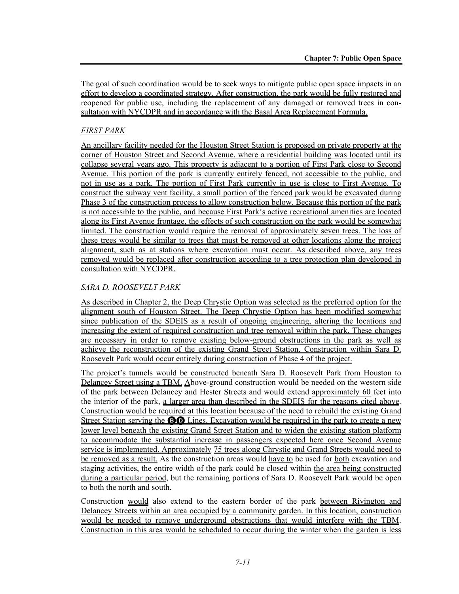The goal of such coordination would be to seek ways to mitigate public open space impacts in an effort to develop a coordinated strategy. After construction, the park would be fully restored and reopened for public use, including the replacement of any damaged or removed trees in consultation with NYCDPR and in accordance with the Basal Area Replacement Formula.

#### *FIRST PARK*

An ancillary facility needed for the Houston Street Station is proposed on private property at the corner of Houston Street and Second Avenue, where a residential building was located until its collapse several years ago. This property is adjacent to a portion of First Park close to Second Avenue. This portion of the park is currently entirely fenced, not accessible to the public, and not in use as a park. The portion of First Park currently in use is close to First Avenue. To construct the subway vent facility, a small portion of the fenced park would be excavated during Phase 3 of the construction process to allow construction below. Because this portion of the park is not accessible to the public, and because First Park's active recreational amenities are located along its First Avenue frontage, the effects of such construction on the park would be somewhat limited. The construction would require the removal of approximately seven trees. The loss of these trees would be similar to trees that must be removed at other locations along the project alignment, such as at stations where excavation must occur. As described above, any trees removed would be replaced after construction according to a tree protection plan developed in consultation with NYCDPR.

#### *SARA D. ROOSEVELT PARK*

As described in Chapter 2, the Deep Chrystie Option was selected as the preferred option for the alignment south of Houston Street. The Deep Chrystie Option has been modified somewhat since publication of the SDEIS as a result of ongoing engineering, altering the locations and increasing the extent of required construction and tree removal within the park. These changes are necessary in order to remove existing below-ground obstructions in the park as well as achieve the reconstruction of the existing Grand Street Station. Construction within Sara D. Roosevelt Park would occur entirely during construction of Phase 4 of the project.

The project's tunnels would be constructed beneath Sara D. Roosevelt Park from Houston to Delancey Street using a TBM. Above-ground construction would be needed on the western side of the park between Delancey and Hester Streets and would extend approximately 60 feet into the interior of the park, a larger area than described in the SDEIS for the reasons cited above. Construction would be required at this location because of the need to rebuild the existing Grand Street Station serving the **BO** Lines. Excavation would be required in the park to create a new lower level beneath the existing Grand Street Station and to widen the existing station platform to accommodate the substantial increase in passengers expected here once Second Avenue service is implemented. Approximately 75 trees along Chrystie and Grand Streets would need to be removed as a result. As the construction areas would have to be used for both excavation and staging activities, the entire width of the park could be closed within the area being constructed during a particular period, but the remaining portions of Sara D. Roosevelt Park would be open to both the north and south.

Construction would also extend to the eastern border of the park between Rivington and Delancey Streets within an area occupied by a community garden. In this location, construction would be needed to remove underground obstructions that would interfere with the TBM. Construction in this area would be scheduled to occur during the winter when the garden is less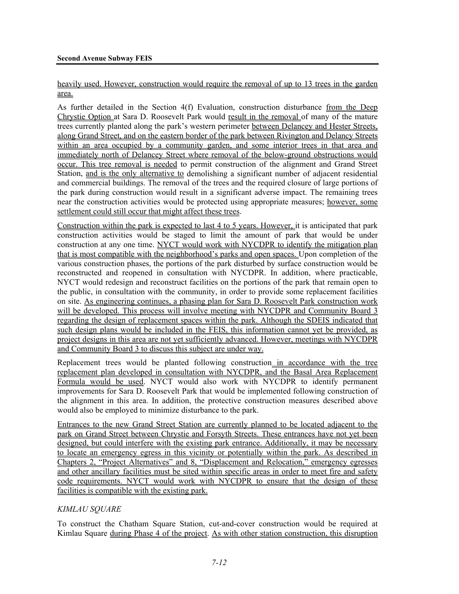heavily used. However, construction would require the removal of up to 13 trees in the garden area.

As further detailed in the Section 4(f) Evaluation, construction disturbance from the Deep Chrystie Option at Sara D. Roosevelt Park would result in the removal of many of the mature trees currently planted along the park's western perimeter between Delancey and Hester Streets, along Grand Street, and on the eastern border of the park between Rivington and Delancy Streets within an area occupied by a community garden, and some interior trees in that area and immediately north of Delancey Street where removal of the below-ground obstructions would occur. This tree removal is needed to permit construction of the alignment and Grand Street Station, and is the only alternative to demolishing a significant number of adjacent residential and commercial buildings. The removal of the trees and the required closure of large portions of the park during construction would result in a significant adverse impact. The remaining trees near the construction activities would be protected using appropriate measures; however, some settlement could still occur that might affect these trees.

Construction within the park is expected to last 4 to 5 years. However, it is anticipated that park construction activities would be staged to limit the amount of park that would be under construction at any one time. NYCT would work with NYCDPR to identify the mitigation plan that is most compatible with the neighborhood's parks and open spaces. Upon completion of the various construction phases, the portions of the park disturbed by surface construction would be reconstructed and reopened in consultation with NYCDPR. In addition, where practicable, NYCT would redesign and reconstruct facilities on the portions of the park that remain open to the public, in consultation with the community, in order to provide some replacement facilities on site. As engineering continues, a phasing plan for Sara D. Roosevelt Park construction work will be developed. This process will involve meeting with NYCDPR and Community Board 3 regarding the design of replacement spaces within the park. Although the SDEIS indicated that such design plans would be included in the FEIS, this information cannot yet be provided, as project designs in this area are not yet sufficiently advanced. However, meetings with NYCDPR and Community Board 3 to discuss this subject are under way.

Replacement trees would be planted following construction in accordance with the tree replacement plan developed in consultation with NYCDPR, and the Basal Area Replacement Formula would be used. NYCT would also work with NYCDPR to identify permanent improvements for Sara D. Roosevelt Park that would be implemented following construction of the alignment in this area. In addition, the protective construction measures described above would also be employed to minimize disturbance to the park.

Entrances to the new Grand Street Station are currently planned to be located adjacent to the park on Grand Street between Chrystie and Forsyth Streets. These entrances have not yet been designed, but could interfere with the existing park entrance. Additionally, it may be necessary to locate an emergency egress in this vicinity or potentially within the park. As described in Chapters 2, "Project Alternatives" and 8, "Displacement and Relocation," emergency egresses and other ancillary facilities must be sited within specific areas in order to meet fire and safety code requirements. NYCT would work with NYCDPR to ensure that the design of these facilities is compatible with the existing park.

#### *KIMLAU SQUARE*

To construct the Chatham Square Station, cut-and-cover construction would be required at Kimlau Square during Phase 4 of the project. As with other station construction, this disruption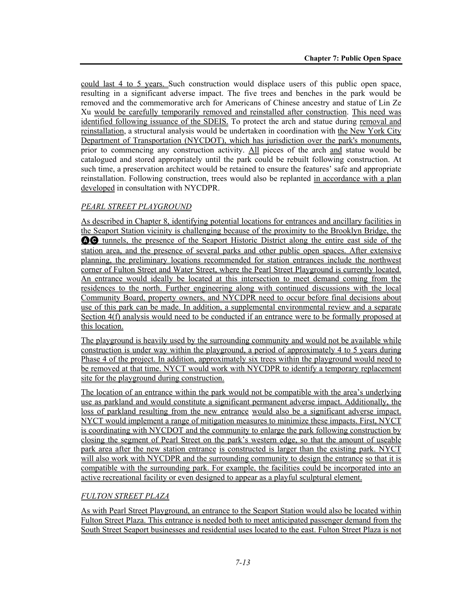could last 4 to 5 years. Such construction would displace users of this public open space, resulting in a significant adverse impact. The five trees and benches in the park would be removed and the commemorative arch for Americans of Chinese ancestry and statue of Lin Ze Xu would be carefully temporarily removed and reinstalled after construction. This need was identified following issuance of the SDEIS. To protect the arch and statue during removal and reinstallation, a structural analysis would be undertaken in coordination with the New York City Department of Transportation (NYCDOT), which has jurisdiction over the park's monuments, prior to commencing any construction activity. All pieces of the arch and statue would be catalogued and stored appropriately until the park could be rebuilt following construction. At such time, a preservation architect would be retained to ensure the features' safe and appropriate reinstallation. Following construction, trees would also be replanted in accordance with a plan developed in consultation with NYCDPR.

## *PEARL STREET PLAYGROUND*

As described in Chapter 8, identifying potential locations for entrances and ancillary facilities in the Seaport Station vicinity is challenging because of the proximity to the Brooklyn Bridge, the AC tunnels, the presence of the Seaport Historic District along the entire east side of the station area, and the presence of several parks and other public open spaces. After extensive planning, the preliminary locations recommended for station entrances include the northwest corner of Fulton Street and Water Street, where the Pearl Street Playground is currently located. An entrance would ideally be located at this intersection to meet demand coming from the residences to the north. Further engineering along with continued discussions with the local Community Board, property owners, and NYCDPR need to occur before final decisions about use of this park can be made. In addition, a supplemental environmental review and a separate Section 4(f) analysis would need to be conducted if an entrance were to be formally proposed at this location.

The playground is heavily used by the surrounding community and would not be available while construction is under way within the playground, a period of approximately 4 to 5 years during Phase 4 of the project. In addition, approximately six trees within the playground would need to be removed at that time. NYCT would work with NYCDPR to identify a temporary replacement site for the playground during construction.

The location of an entrance within the park would not be compatible with the area's underlying use as parkland and would constitute a significant permanent adverse impact. Additionally, the loss of parkland resulting from the new entrance would also be a significant adverse impact. NYCT would implement a range of mitigation measures to minimize these impacts. First, NYCT is coordinating with NYCDOT and the community to enlarge the park following construction by closing the segment of Pearl Street on the park's western edge, so that the amount of useable park area after the new station entrance is constructed is larger than the existing park. NYCT will also work with NYCDPR and the surrounding community to design the entrance so that it is compatible with the surrounding park. For example, the facilities could be incorporated into an active recreational facility or even designed to appear as a playful sculptural element.

#### *FULTON STREET PLAZA*

As with Pearl Street Playground, an entrance to the Seaport Station would also be located within Fulton Street Plaza. This entrance is needed both to meet anticipated passenger demand from the South Street Seaport businesses and residential uses located to the east. Fulton Street Plaza is not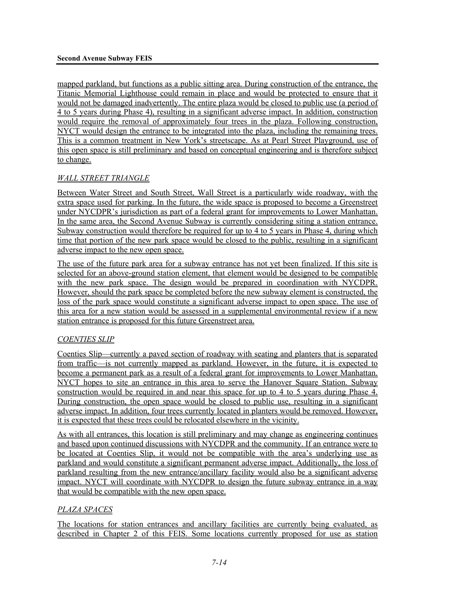mapped parkland, but functions as a public sitting area. During construction of the entrance, the Titanic Memorial Lighthouse could remain in place and would be protected to ensure that it would not be damaged inadvertently. The entire plaza would be closed to public use (a period of 4 to 5 years during Phase 4), resulting in a significant adverse impact. In addition, construction would require the removal of approximately four trees in the plaza. Following construction, NYCT would design the entrance to be integrated into the plaza, including the remaining trees. This is a common treatment in New York's streetscape. As at Pearl Street Playground, use of this open space is still preliminary and based on conceptual engineering and is therefore subject to change.

## *WALL STREET TRIANGLE*

Between Water Street and South Street, Wall Street is a particularly wide roadway, with the extra space used for parking. In the future, the wide space is proposed to become a Greenstreet under NYCDPR's jurisdiction as part of a federal grant for improvements to Lower Manhattan. In the same area, the Second Avenue Subway is currently considering siting a station entrance. Subway construction would therefore be required for up to 4 to 5 years in Phase 4, during which time that portion of the new park space would be closed to the public, resulting in a significant adverse impact to the new open space.

The use of the future park area for a subway entrance has not yet been finalized. If this site is selected for an above-ground station element, that element would be designed to be compatible with the new park space. The design would be prepared in coordination with NYCDPR. However, should the park space be completed before the new subway element is constructed, the loss of the park space would constitute a significant adverse impact to open space. The use of this area for a new station would be assessed in a supplemental environmental review if a new station entrance is proposed for this future Greenstreet area.

#### *COENTIES SLIP*

Coenties Slip—currently a paved section of roadway with seating and planters that is separated from traffic—is not currently mapped as parkland. However, in the future, it is expected to become a permanent park as a result of a federal grant for improvements to Lower Manhattan. NYCT hopes to site an entrance in this area to serve the Hanover Square Station. Subway construction would be required in and near this space for up to 4 to 5 years during Phase 4. During construction, the open space would be closed to public use, resulting in a significant adverse impact. In addition, four trees currently located in planters would be removed. However, it is expected that these trees could be relocated elsewhere in the vicinity.

As with all entrances, this location is still preliminary and may change as engineering continues and based upon continued discussions with NYCDPR and the community. If an entrance were to be located at Coenties Slip, it would not be compatible with the area's underlying use as parkland and would constitute a significant permanent adverse impact. Additionally, the loss of parkland resulting from the new entrance/ancillary facility would also be a significant adverse impact. NYCT will coordinate with NYCDPR to design the future subway entrance in a way that would be compatible with the new open space.

#### *PLAZA SPACES*

The locations for station entrances and ancillary facilities are currently being evaluated, as described in Chapter 2 of this FEIS. Some locations currently proposed for use as station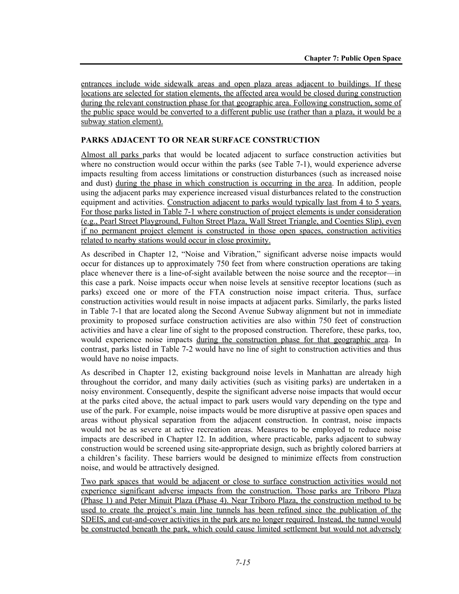entrances include wide sidewalk areas and open plaza areas adjacent to buildings. If these locations are selected for station elements, the affected area would be closed during construction during the relevant construction phase for that geographic area. Following construction, some of the public space would be converted to a different public use (rather than a plaza, it would be a subway station element).

## **PARKS ADJACENT TO OR NEAR SURFACE CONSTRUCTION**

Almost all parks parks that would be located adjacent to surface construction activities but where no construction would occur within the parks (see Table 7-1), would experience adverse impacts resulting from access limitations or construction disturbances (such as increased noise and dust) during the phase in which construction is occurring in the area. In addition, people using the adjacent parks may experience increased visual disturbances related to the construction equipment and activities. Construction adjacent to parks would typically last from 4 to 5 years. For those parks listed in Table 7-1 where construction of project elements is under consideration (e.g., Pearl Street Playground, Fulton Street Plaza, Wall Street Triangle, and Coenties Slip), even if no permanent project element is constructed in those open spaces, construction activities related to nearby stations would occur in close proximity.

As described in Chapter 12, "Noise and Vibration," significant adverse noise impacts would occur for distances up to approximately 750 feet from where construction operations are taking place whenever there is a line-of-sight available between the noise source and the receptor—in this case a park. Noise impacts occur when noise levels at sensitive receptor locations (such as parks) exceed one or more of the FTA construction noise impact criteria. Thus, surface construction activities would result in noise impacts at adjacent parks. Similarly, the parks listed in Table 7-1 that are located along the Second Avenue Subway alignment but not in immediate proximity to proposed surface construction activities are also within 750 feet of construction activities and have a clear line of sight to the proposed construction. Therefore, these parks, too, would experience noise impacts during the construction phase for that geographic area. In contrast, parks listed in Table 7-2 would have no line of sight to construction activities and thus would have no noise impacts.

As described in Chapter 12, existing background noise levels in Manhattan are already high throughout the corridor, and many daily activities (such as visiting parks) are undertaken in a noisy environment. Consequently, despite the significant adverse noise impacts that would occur at the parks cited above, the actual impact to park users would vary depending on the type and use of the park. For example, noise impacts would be more disruptive at passive open spaces and areas without physical separation from the adjacent construction. In contrast, noise impacts would not be as severe at active recreation areas. Measures to be employed to reduce noise impacts are described in Chapter 12. In addition, where practicable, parks adjacent to subway construction would be screened using site-appropriate design, such as brightly colored barriers at a children's facility. These barriers would be designed to minimize effects from construction noise, and would be attractively designed.

Two park spaces that would be adjacent or close to surface construction activities would not experience significant adverse impacts from the construction. Those parks are Triboro Plaza (Phase 1) and Peter Minuit Plaza (Phase 4). Near Triboro Plaza, the construction method to be used to create the project's main line tunnels has been refined since the publication of the SDEIS, and cut-and-cover activities in the park are no longer required. Instead, the tunnel would be constructed beneath the park, which could cause limited settlement but would not adversely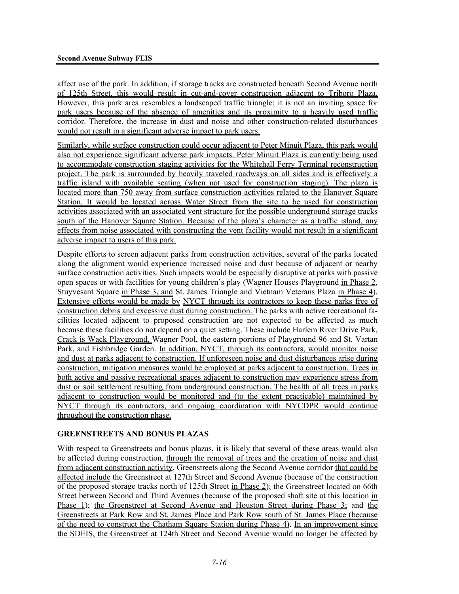affect use of the park. In addition, if storage tracks are constructed beneath Second Avenue north of 125th Street, this would result in cut-and-cover construction adjacent to Triboro Plaza. However, this park area resembles a landscaped traffic triangle; it is not an inviting space for park users because of the absence of amenities and its proximity to a heavily used traffic corridor. Therefore, the increase in dust and noise and other construction-related disturbances would not result in a significant adverse impact to park users.

Similarly, while surface construction could occur adjacent to Peter Minuit Plaza, this park would also not experience significant adverse park impacts. Peter Minuit Plaza is currently being used to accommodate construction staging activities for the Whitehall Ferry Terminal reconstruction project. The park is surrounded by heavily traveled roadways on all sides and is effectively a traffic island with available seating (when not used for construction staging). The plaza is located more than 750 away from surface construction activities related to the Hanover Square Station. It would be located across Water Street from the site to be used for construction activities associated with an associated vent structure for the possible underground storage tracks south of the Hanover Square Station. Because of the plaza's character as a traffic island, any effects from noise associated with constructing the vent facility would not result in a significant adverse impact to users of this park.

Despite efforts to screen adjacent parks from construction activities, several of the parks located along the alignment would experience increased noise and dust because of adjacent or nearby surface construction activities. Such impacts would be especially disruptive at parks with passive open spaces or with facilities for young children's play (Wagner Houses Playground in Phase 2, Stuyvesant Square in Phase 3, and St. James Triangle and Vietnam Veterans Plaza in Phase 4). Extensive efforts would be made by NYCT through its contractors to keep these parks free of construction debris and excessive dust during construction. The parks with active recreational facilities located adjacent to proposed construction are not expected to be affected as much because these facilities do not depend on a quiet setting. These include Harlem River Drive Park, Crack is Wack Playground, Wagner Pool, the eastern portions of Playground 96 and St. Vartan Park, and Fishbridge Garden. In addition, NYCT, through its contractors, would monitor noise and dust at parks adjacent to construction. If unforeseen noise and dust disturbances arise during construction, mitigation measures would be employed at parks adjacent to construction. Trees in both active and passive recreational spaces adjacent to construction may experience stress from dust or soil settlement resulting from underground construction. The health of all trees in parks adjacent to construction would be monitored and (to the extent practicable) maintained by NYCT through its contractors, and ongoing coordination with NYCDPR would continue throughout the construction phase.

#### **GREENSTREETS AND BONUS PLAZAS**

With respect to Greenstreets and bonus plazas, it is likely that several of these areas would also be affected during construction, through the removal of trees and the creation of noise and dust from adjacent construction activity. Greenstreets along the Second Avenue corridor that could be affected include the Greenstreet at 127th Street and Second Avenue (because of the construction of the proposed storage tracks north of 125th Street in Phase 2); the Greenstreet located on 66th Street between Second and Third Avenues (because of the proposed shaft site at this location in Phase 1); the Greenstreet at Second Avenue and Houston Street during Phase 3; and the Greenstreets at Park Row and St. James Place and Park Row south of St. James Place (because of the need to construct the Chatham Square Station during Phase 4). In an improvement since the SDEIS, the Greenstreet at 124th Street and Second Avenue would no longer be affected by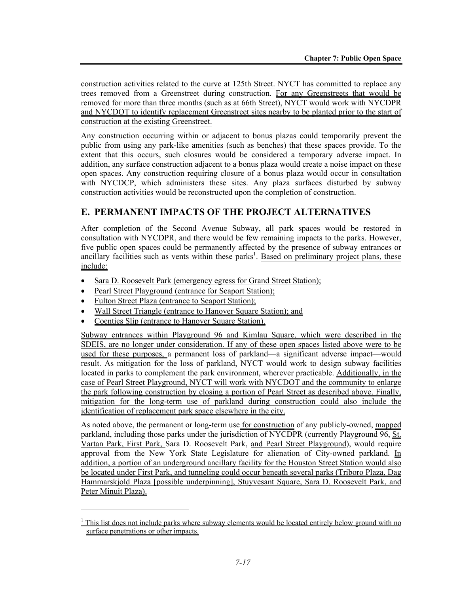construction activities related to the curve at 125th Street. NYCT has committed to replace any trees removed from a Greenstreet during construction. For any Greenstreets that would be removed for more than three months (such as at 66th Street), NYCT would work with NYCDPR and NYCDOT to identify replacement Greenstreet sites nearby to be planted prior to the start of construction at the existing Greenstreet.

Any construction occurring within or adjacent to bonus plazas could temporarily prevent the public from using any park-like amenities (such as benches) that these spaces provide. To the extent that this occurs, such closures would be considered a temporary adverse impact. In addition, any surface construction adjacent to a bonus plaza would create a noise impact on these open spaces. Any construction requiring closure of a bonus plaza would occur in consultation with NYCDCP, which administers these sites. Any plaza surfaces disturbed by subway construction activities would be reconstructed upon the completion of construction.

# **E. PERMANENT IMPACTS OF THE PROJECT ALTERNATIVES**

After completion of the Second Avenue Subway, all park spaces would be restored in consultation with NYCDPR, and there would be few remaining impacts to the parks. However, five public open spaces could be permanently affected by the presence of subway entrances or ancillary facilities such as vents within these parks<sup>1</sup>. Based on preliminary project plans, these include:

- Sara D. Roosevelt Park (emergency egress for Grand Street Station);
- Pearl Street Playground (entrance for Seaport Station);
- Fulton Street Plaza (entrance to Seaport Station);

1

- Wall Street Triangle (entrance to Hanover Square Station); and
- Coenties Slip (entrance to Hanover Square Station).

Subway entrances within Playground 96 and Kimlau Square, which were described in the SDEIS, are no longer under consideration. If any of these open spaces listed above were to be used for these purposes, a permanent loss of parkland—a significant adverse impact—would result. As mitigation for the loss of parkland, NYCT would work to design subway facilities located in parks to complement the park environment, wherever practicable. Additionally, in the case of Pearl Street Playground, NYCT will work with NYCDOT and the community to enlarge the park following construction by closing a portion of Pearl Street as described above. Finally, mitigation for the long-term use of parkland during construction could also include the identification of replacement park space elsewhere in the city.

As noted above, the permanent or long-term use for construction of any publicly-owned, mapped parkland, including those parks under the jurisdiction of NYCDPR (currently Playground 96, St. Vartan Park, First Park, Sara D. Roosevelt Park, and Pearl Street Playground), would require approval from the New York State Legislature for alienation of City-owned parkland. In addition, a portion of an underground ancillary facility for the Houston Street Station would also be located under First Park, and tunneling could occur beneath several parks (Triboro Plaza, Dag Hammarskjold Plaza [possible underpinning], Stuyvesant Square, Sara D. Roosevelt Park, and Peter Minuit Plaza).

 $1$  This list does not include parks where subway elements would be located entirely below ground with no surface penetrations or other impacts.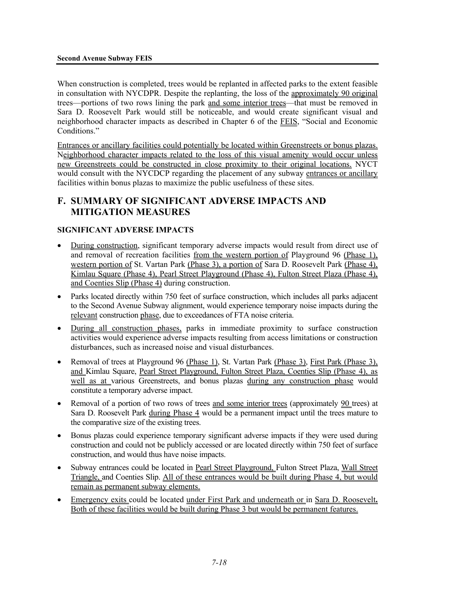#### **Second Avenue Subway FEIS**

When construction is completed, trees would be replanted in affected parks to the extent feasible in consultation with NYCDPR. Despite the replanting, the loss of the approximately 90 original trees—portions of two rows lining the park and some interior trees—that must be removed in Sara D. Roosevelt Park would still be noticeable, and would create significant visual and neighborhood character impacts as described in Chapter 6 of the FEIS, "Social and Economic Conditions."

Entrances or ancillary facilities could potentially be located within Greenstreets or bonus plazas. Neighborhood character impacts related to the loss of this visual amenity would occur unless new Greenstreets could be constructed in close proximity to their original locations. NYCT would consult with the NYCDCP regarding the placement of any subway entrances or ancillary facilities within bonus plazas to maximize the public usefulness of these sites.

# **F. SUMMARY OF SIGNIFICANT ADVERSE IMPACTS AND MITIGATION MEASURES**

#### **SIGNIFICANT ADVERSE IMPACTS**

- During construction, significant temporary adverse impacts would result from direct use of and removal of recreation facilities from the western portion of Playground 96 (Phase 1), western portion of St. Vartan Park (Phase 3), a portion of Sara D. Roosevelt Park (Phase 4), Kimlau Square (Phase 4), Pearl Street Playground (Phase 4), Fulton Street Plaza (Phase 4), and Coenties Slip (Phase 4) during construction.
- Parks located directly within 750 feet of surface construction, which includes all parks adjacent to the Second Avenue Subway alignment, would experience temporary noise impacts during the relevant construction phase, due to exceedances of FTA noise criteria.
- During all construction phases, parks in immediate proximity to surface construction activities would experience adverse impacts resulting from access limitations or construction disturbances, such as increased noise and visual disturbances.
- Removal of trees at Playground 96 (Phase 1), St. Vartan Park (Phase 3), First Park (Phase 3), and Kimlau Square, Pearl Street Playground, Fulton Street Plaza, Coenties Slip (Phase 4), as well as at various Greenstreets, and bonus plazas during any construction phase would constitute a temporary adverse impact.
- Removal of a portion of two rows of trees and some interior trees (approximately 90 trees) at Sara D. Roosevelt Park during Phase 4 would be a permanent impact until the trees mature to the comparative size of the existing trees.
- Bonus plazas could experience temporary significant adverse impacts if they were used during construction and could not be publicly accessed or are located directly within 750 feet of surface construction, and would thus have noise impacts.
- Subway entrances could be located in Pearl Street Playground, Fulton Street Plaza, Wall Street Triangle, and Coenties Slip. All of these entrances would be built during Phase 4, but would remain as permanent subway elements.
- Emergency exits could be located under First Park and underneath or in Sara D. Roosevelt**.** Both of these facilities would be built during Phase 3 but would be permanent features.